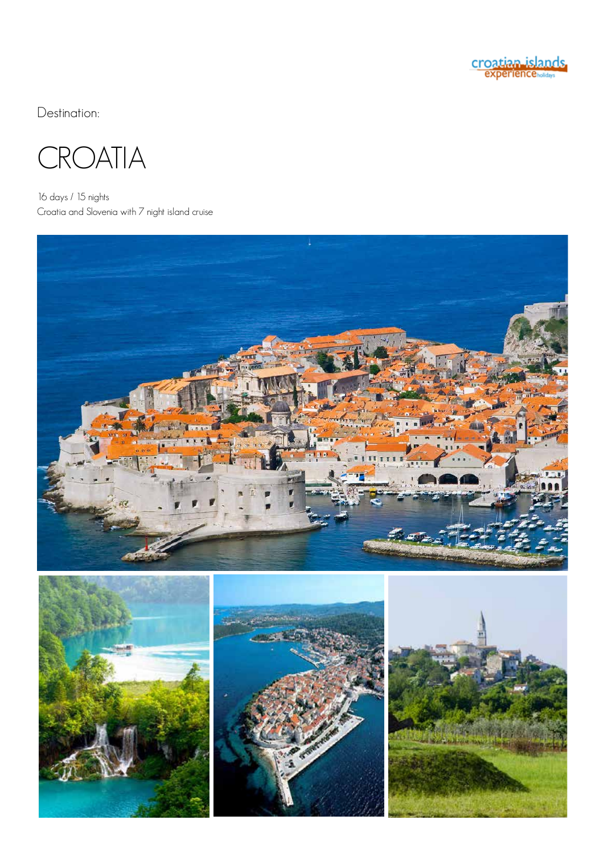

Destination:



16 days / 15 nights Croatia and Slovenia with 7 night island cruise

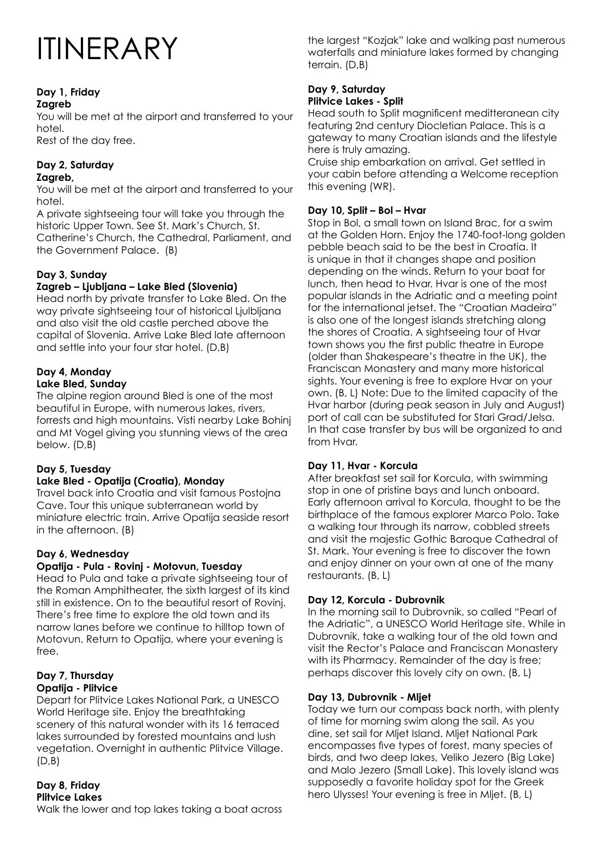# ITINERARY

#### **Day 1, Friday Zagreb**

You will be met at the airport and transferred to your hotel.

Rest of the day free.

#### **Day 2, Saturday Zagreb,**

You will be met at the airport and transferred to your hotel.

A private sightseeing tour will take you through the historic Upper Town. See St. Mark's Church, St. Catherine's Church, the Cathedral, Parliament, and the Government Palace. (B)

### **Day 3, Sunday**

### **Zagreb – Ljubljana – Lake Bled (Slovenia)**

Head north by private transfer to Lake Bled. On the way private sightseeing tour of historical Ljulbljana and also visit the old castle perched above the capital of Slovenia. Arrive Lake Bled late afternoon and settle into your four star hotel. (D,B)

#### **Day 4, Monday Lake Bled, Sunday**

The alpine region around Bled is one of the most beautiful in Europe, with numerous lakes, rivers, forrests and high mountains. Visti nearby Lake Bohinj and Mt Vogel giving you stunning views of the area below. (D,B)

### **Day 5, Tuesday**

#### **Lake Bled - Opatija (Croatia), Monday**

Travel back into Croatia and visit famous Postojna Cave. Tour this unique subterranean world by miniature electric train. Arrive Opatija seaside resort in the afternoon. (B)

### **Day 6, Wednesday**

#### **Opatija - Pula - Rovinj - Motovun, Tuesday**

Head to Pula and take a private sightseeing tour of the Roman Amphitheater, the sixth largest of its kind still in existence. On to the beautiful resort of Rovinj. There's free time to explore the old town and its narrow lanes before we continue to hilltop town of Motovun. Return to Opatija, where your evening is free.

#### **Day 7, Thursday Opatija - Plitvice**

Depart for Plitvice Lakes National Park, a UNESCO World Heritage site. Enjoy the breathtaking scenery of this natural wonder with its 16 terraced lakes surrounded by forested mountains and lush vegetation. Overnight in authentic Plitvice Village.  $(D.B)$ 

#### **Day 8, Friday Plitvice Lakes**

Walk the lower and top lakes taking a boat across

the largest "Kozjak" lake and walking past numerous waterfalls and miniature lakes formed by changing terrain. (D,B)

#### **Day 9, Saturday Plitvice Lakes - Split**

Head south to Split magnificent meditteranean city featuring 2nd century Diocletian Palace. This is a gateway to many Croatian islands and the lifestyle here is truly amazing.

Cruise ship embarkation on arrival. Get settled in your cabin before attending a Welcome reception this evening (WR).

#### **Day 10, Split – Bol – Hvar**

Stop in Bol, a small town on Island Brac, for a swim at the Golden Horn. Enjoy the 1740-foot-long golden pebble beach said to be the best in Croatia. It is unique in that it changes shape and position depending on the winds. Return to your boat for lunch, then head to Hvar. Hvar is one of the most popular islands in the Adriatic and a meeting point for the international jetset. The "Croatian Madeira" is also one of the longest islands stretching along the shores of Croatia. A sightseeing tour of Hvar town shows you the first public theatre in Europe (older than Shakespeare's theatre in the UK), the Franciscan Monastery and many more historical sights. Your evening is free to explore Hvar on your own. (B, L) Note: Due to the limited capacity of the Hvar harbor (during peak season in July and August) port of call can be substituted for Stari Grad/Jelsa. In that case transfer by bus will be organized to and from Hvar.

#### **Day 11, Hvar - Korcula**

After breakfast set sail for Korcula, with swimming stop in one of pristine bays and lunch onboard. Early afternoon arrival to Korcula, thought to be the birthplace of the famous explorer Marco Polo. Take a walking tour through its narrow, cobbled streets and visit the majestic Gothic Baroque Cathedral of St. Mark. Your evening is free to discover the town and enjoy dinner on your own at one of the many restaurants. (B, L)

#### **Day 12, Korcula - Dubrovnik**

In the morning sail to Dubrovnik, so called "Pearl of the Adriatic", a UNESCO World Heritage site. While in Dubrovnik, take a walking tour of the old town and visit the Rector's Palace and Franciscan Monastery with its Pharmacy. Remainder of the day is free; perhaps discover this lovely city on own. (B, L)

#### **Day 13, Dubrovnik - Mljet**

Today we turn our compass back north, with plenty of time for morning swim along the sail. As you dine, set sail for Mljet Island. Mljet National Park encompasses five types of forest, many species of birds, and two deep lakes, Veliko Jezero (Big Lake) and Malo Jezero (Small Lake). This lovely island was supposedly a favorite holiday spot for the Greek hero Ulysses! Your evening is free in Mljet. (B, L)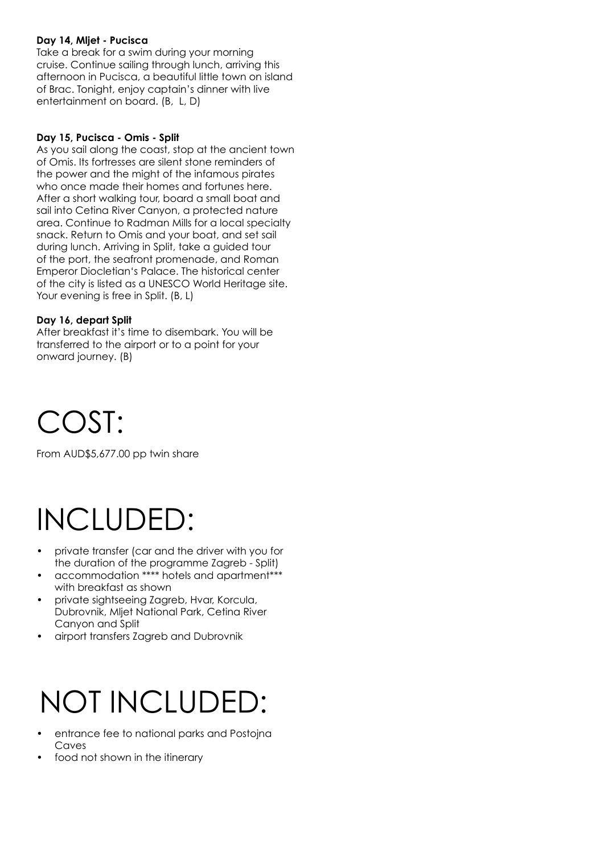#### **Day 14, Mljet - Pucisca**

Take a break for a swim during your morning cruise. Continue sailing through lunch, arriving this afternoon in Pucisca, a beautiful little town on island of Brac. Tonight, enjoy captain's dinner with live entertainment on board. (B, L, D)

#### **Day 15, Pucisca - Omis - Split**

As you sail along the coast, stop at the ancient town of Omis. Its fortresses are silent stone reminders of the power and the might of the infamous pirates who once made their homes and fortunes here. After a short walking tour, board a small boat and sail into Cetina River Canyon, a protected nature area. Continue to Radman Mills for a local specialty snack. Return to Omis and your boat, and set sail during lunch. Arriving in Split, take a guided tour of the port, the seafront promenade, and Roman Emperor Diocletian's Palace. The historical center of the city is listed as a UNESCO World Heritage site. Your evening is free in Split. (B, L)

#### **Day 16, depart Split**

After breakfast it's time to disembark. You will be transferred to the airport or to a point for your onward journey. (B)

## COST:

From AUD\$5,677.00 pp twin share

## INCLUDED:

- private transfer (car and the driver with you for the duration of the programme Zagreb - Split)
- accommodation \*\*\*\* hotels and apartment\*\*\* with breakfast as shown
- private sightseeing Zagreb, Hvar, Korcula, Dubrovnik, Mljet National Park, Cetina River Canyon and Split
- airport transfers Zagreb and Dubrovnik

## NOT INCLUDED:

- entrance fee to national parks and Postojna Caves
- food not shown in the itinerary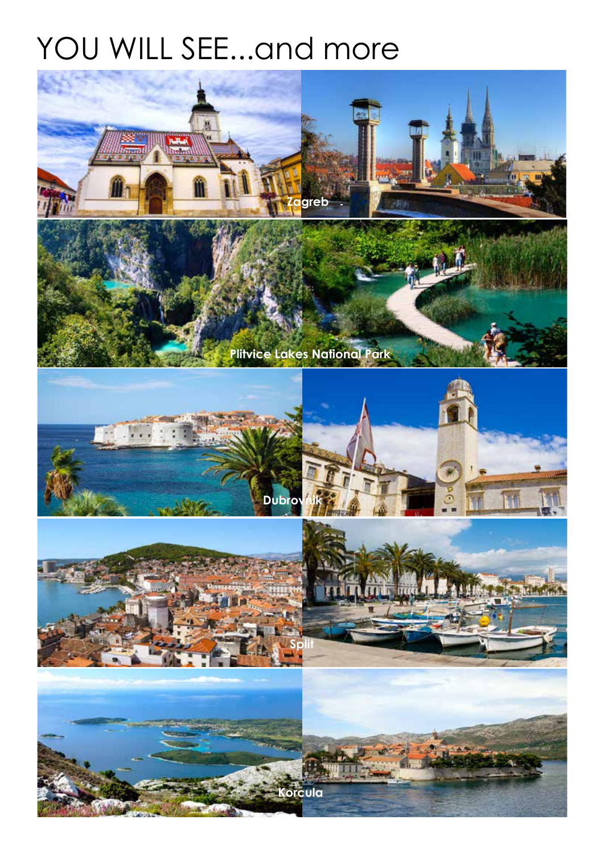## YOU WILL SEE...and more

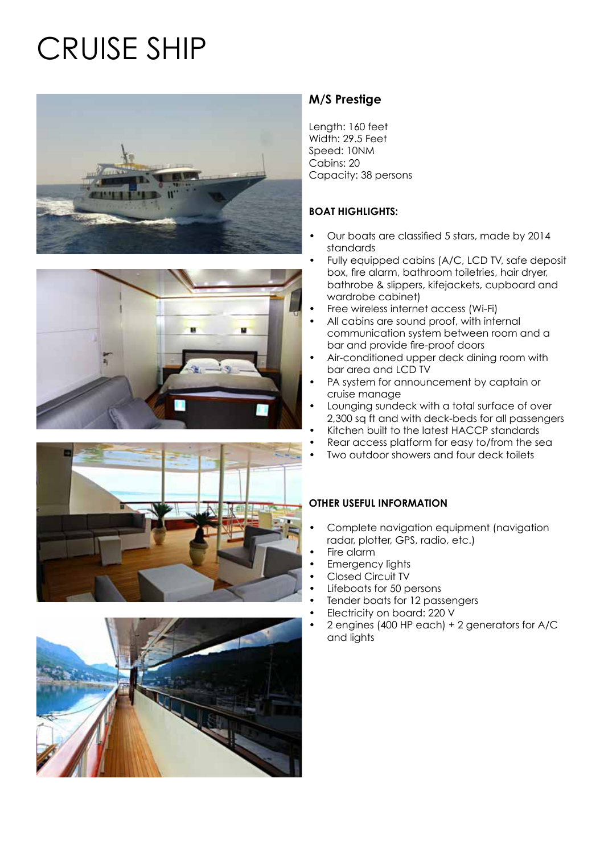# CRUISE SHIP







## **M/S Prestige**

Length: 160 feet Width: 29.5 Feet Speed: 10NM Cabins: 20 Capacity: 38 persons

#### **BOAT HIGHLIGHTS:**

- Our boats are classified 5 stars, made by 2014 standards
- Fully equipped cabins (A/C, LCD TV, safe deposit box, fire alarm, bathroom toiletries, hair dryer, bathrobe & slippers, kifejackets, cupboard and wardrobe cabinet)
- Free wireless internet access (Wi-Fi)
- All cabins are sound proof, with internal communication system between room and a bar and provide fire-proof doors
- Air-conditioned upper deck dining room with bar area and LCD TV
- PA system for announcement by captain or cruise manage
- Lounging sundeck with a total surface of over 2,300 sq ft and with deck-beds for all passengers
- Kitchen built to the latest HACCP standards
- Rear access platform for easy to/from the sea
- Two outdoor showers and four deck toilets

#### **OTHER USEFUL INFORMATION**

- Complete navigation equipment (navigation radar, plotter, GPS, radio, etc.)
- Fire alarm
- Emergency lights
- Closed Circuit TV
- Lifeboats for 50 persons
- Tender boats for 12 passengers
- Electricity on board: 220 V
- 2 engines (400 HP each) + 2 generators for A/C and lights